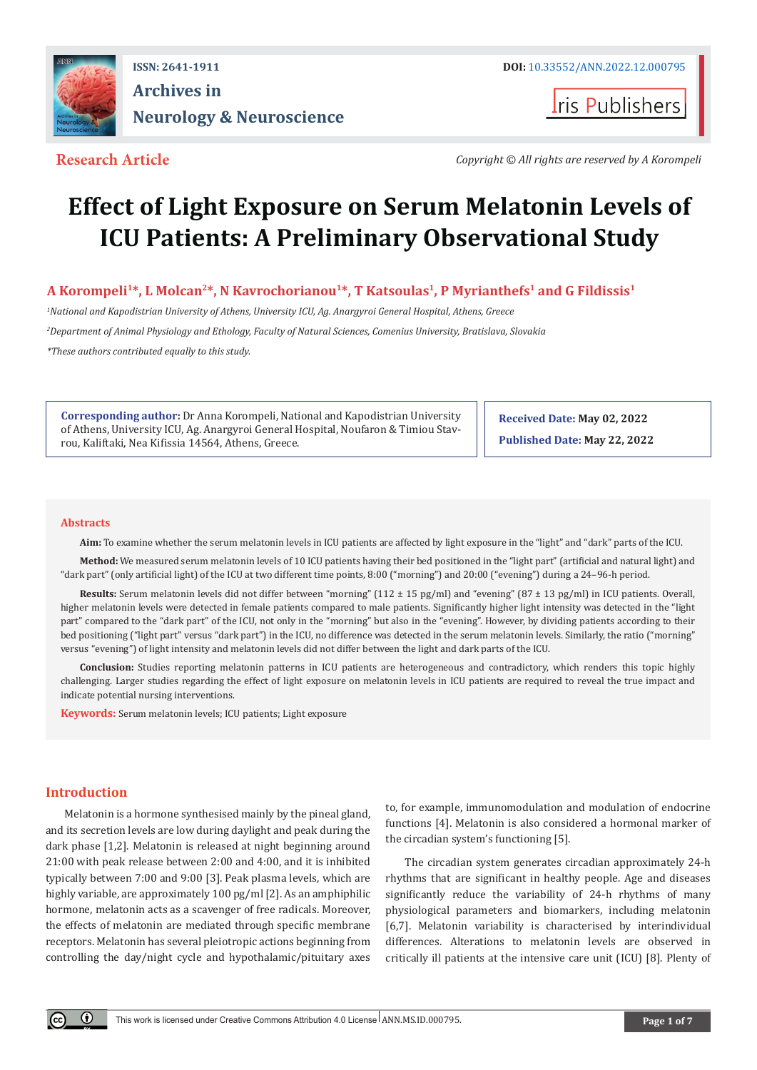

## **ISSN: 2641-1911 DOI:** [10.33552/ANN.2022.12.000795](http://dx.doi.org/10.33552/ANN.2022.12.000795) **Archives in Neurology & Neuroscience**

**I**ris Publishers

**Research Article** *Copyright © All rights are reserved by Α Korompeli*

# **Effect of Light Exposure on Serum Melatonin Levels of ICU Patients: A Preliminary Observational Study**

**Α Korompeli1\*, L Molcan2\*, N Kavrochorianou<sup>1</sup>\*, T Katsoulas1, P Myrianthefs1 and G Fildissis1**

*1 National and Kapodistrian University of Athens, University ICU, Ag. Anargyroi General Hospital, Athens, Greece 2 Department of Animal Physiology and Ethology, Faculty of Natural Sciences, Comenius University, Bratislava, Slovakia \*These authors contributed equally to this study.* 

**Corresponding author:** Dr Anna Korompeli, National and Kapodistrian University of Athens, University ICU, Ag. Anargyroi General Hospital, Noufaron & Timiou Stavrou, Kaliftaki, Nea Kifissia 14564, Athens, Greece.

**Received Date: May 02, 2022 Published Date: May 22, 2022**

#### **Abstracts**

**Aim:** To examine whether the serum melatonin levels in ICU patients are affected by light exposure in the "light" and "dark" parts of the ICU.

**Method:** We measured serum melatonin levels of 10 ICU patients having their bed positioned in the "light part" (artificial and natural light) and "dark part" (only artificial light) of the ICU at two different time points, 8:00 ("morning") and 20:00 ("evening") during a 24–96-h period.

**Results:** Serum melatonin levels did not differ between "morning" (112 ± 15 pg/ml) and "evening" (87 ± 13 pg/ml) in ICU patients. Overall, higher melatonin levels were detected in female patients compared to male patients. Significantly higher light intensity was detected in the "light part" compared to the "dark part" of the ICU, not only in the "morning" but also in the "evening". However, by dividing patients according to their bed positioning ("light part" versus "dark part") in the ICU, no difference was detected in the serum melatonin levels. Similarly, the ratio ("morning" versus "evening") of light intensity and melatonin levels did not differ between the light and dark parts of the ICU.

**Conclusion:** Studies reporting melatonin patterns in ICU patients are heterogeneous and contradictory, which renders this topic highly challenging. Larger studies regarding the effect of light exposure on melatonin levels in ICU patients are required to reveal the true impact and indicate potential nursing interventions.

**Keywords:** Serum melatonin levels; ICU patients; Light exposure

### **Introduction**

Melatonin is a hormone synthesised mainly by the pineal gland, and its secretion levels are low during daylight and peak during the dark phase [1,2]. Melatonin is released at night beginning around 21:00 with peak release between 2:00 and 4:00, and it is inhibited typically between 7:00 and 9:00 [3]. Peak plasma levels, which are highly variable, are approximately 100 pg/ml [2]. As an amphiphilic hormone, melatonin acts as a scavenger of free radicals. Moreover, the effects of melatonin are mediated through specific membrane receptors. Melatonin has several pleiotropic actions beginning from controlling the day/night cycle and hypothalamic/pituitary axes

to, for example, immunomodulation and modulation of endocrine functions [4]. Melatonin is also considered a hormonal marker of the circadian system's functioning [5].

The circadian system generates circadian approximately 24-h rhythms that are significant in healthy people. Age and diseases significantly reduce the variability of 24-h rhythms of many physiological parameters and biomarkers, including melatonin [6,7]. Melatonin variability is characterised by interindividual differences. Alterations to melatonin levels are observed in critically ill patients at the intensive care unit (ICU) [8]. Plenty of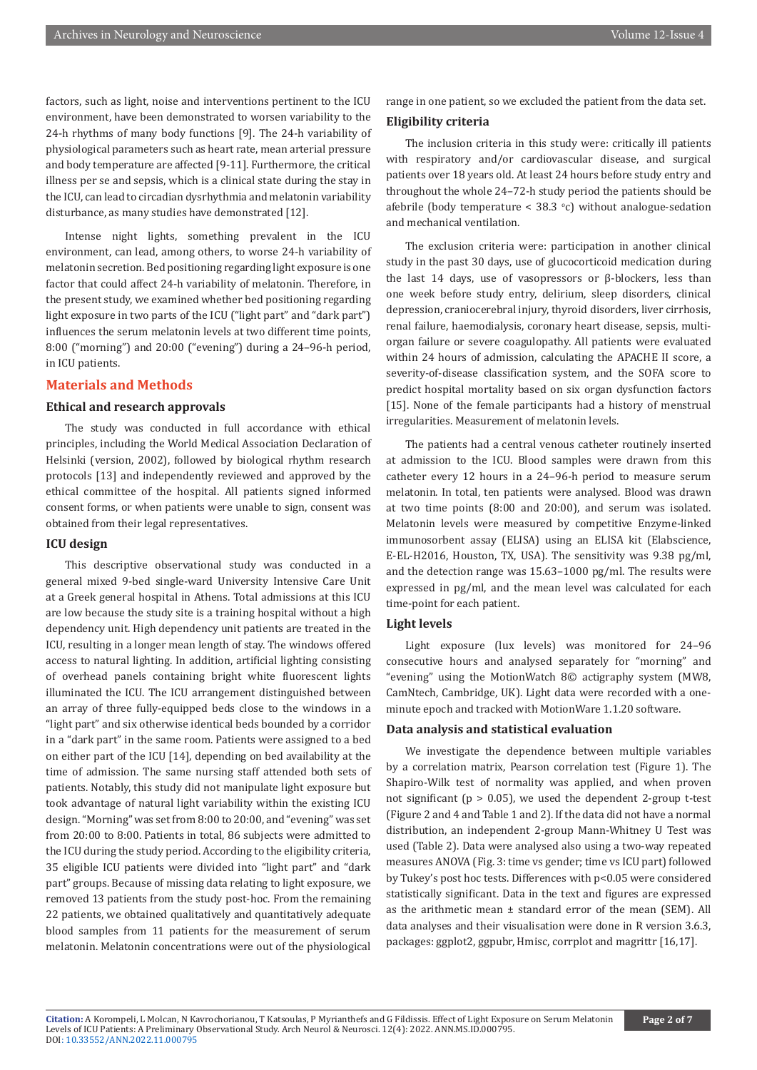factors, such as light, noise and interventions pertinent to the ICU environment, have been demonstrated to worsen variability to the 24-h rhythms of many body functions [9]. The 24-h variability of physiological parameters such as heart rate, mean arterial pressure and body temperature are affected [9-11]. Furthermore, the critical illness per se and sepsis, which is a clinical state during the stay in the ICU, can lead to circadian dysrhythmia and melatonin variability disturbance, as many studies have demonstrated [12].

Intense night lights, something prevalent in the ICU environment, can lead, among others, to worse 24-h variability of melatonin secretion. Bed positioning regarding light exposure is one factor that could affect 24-h variability of melatonin. Therefore, in the present study, we examined whether bed positioning regarding light exposure in two parts of the ICU ("light part" and "dark part") influences the serum melatonin levels at two different time points, 8:00 ("morning") and 20:00 ("evening") during a 24–96-h period, in ICU patients.

#### **Materials and Methods**

#### **Ethical and research approvals**

The study was conducted in full accordance with ethical principles, including the World Medical Association Declaration of Helsinki (version, 2002), followed by biological rhythm research protocols [13] and independently reviewed and approved by the ethical committee of the hospital. All patients signed informed consent forms, or when patients were unable to sign, consent was obtained from their legal representatives.

#### **ICU design**

This descriptive observational study was conducted in a general mixed 9-bed single-ward University Intensive Care Unit at a Greek general hospital in Athens. Total admissions at this ICU are low because the study site is a training hospital without a high dependency unit. High dependency unit patients are treated in the ICU, resulting in a longer mean length of stay. The windows offered access to natural lighting. In addition, artificial lighting consisting of overhead panels containing bright white fluorescent lights illuminated the ICU. The ICU arrangement distinguished between an array of three fully-equipped beds close to the windows in a "light part" and six otherwise identical beds bounded by a corridor in a "dark part" in the same room. Patients were assigned to a bed on either part of the ICU [14], depending on bed availability at the time of admission. The same nursing staff attended both sets of patients. Notably, this study did not manipulate light exposure but took advantage of natural light variability within the existing ICU design. "Morning" was set from 8:00 to 20:00, and "evening" was set from 20:00 to 8:00. Patients in total, 86 subjects were admitted to the ICU during the study period. According to the eligibility criteria, 35 eligible ICU patients were divided into "light part" and "dark part" groups. Because of missing data relating to light exposure, we removed 13 patients from the study post-hoc. From the remaining 22 patients, we obtained qualitatively and quantitatively adequate blood samples from 11 patients for the measurement of serum melatonin. Melatonin concentrations were out of the physiological

range in one patient, so we excluded the patient from the data set.

#### **Eligibility criteria**

The inclusion criteria in this study were: critically ill patients with respiratory and/or cardiovascular disease, and surgical patients over 18 years old. At least 24 hours before study entry and throughout the whole 24–72-h study period the patients should be afebrile (body temperature  $\leq 38.3$  °c) without analogue-sedation and mechanical ventilation.

The exclusion criteria were: participation in another clinical study in the past 30 days, use of glucocorticoid medication during the last 14 days, use of vasopressors or β-blockers, less than one week before study entry, delirium, sleep disorders, clinical depression, craniocerebral injury, thyroid disorders, liver cirrhosis, renal failure, haemodialysis, coronary heart disease, sepsis, multiorgan failure or severe coagulopathy. All patients were evaluated within 24 hours of admission, calculating the APACHE II score, a severity-of-disease classification system, and the SOFA score to predict hospital mortality based on six organ dysfunction factors [15]. None of the female participants had a history of menstrual irregularities. Measurement of melatonin levels.

The patients had a central venous catheter routinely inserted at admission to the ICU. Blood samples were drawn from this catheter every 12 hours in a 24–96-h period to measure serum melatonin. In total, ten patients were analysed. Blood was drawn at two time points (8:00 and 20:00), and serum was isolated. Melatonin levels were measured by competitive Enzyme-linked immunosorbent assay (ELISA) using an ELISA kit (Elabscience, E-EL-H2016, Houston, TX, USA). The sensitivity was 9.38 pg/ml, and the detection range was 15.63–1000 pg/ml. The results were expressed in pg/ml, and the mean level was calculated for each time-point for each patient.

### **Light levels**

Light exposure (lux levels) was monitored for 24–96 consecutive hours and analysed separately for "morning" and "evening" using the MotionWatch 8© actigraphy system (MW8, CamNtech, Cambridge, UK). Light data were recorded with a oneminute epoch and tracked with MotionWare 1.1.20 software.

#### **Data analysis and statistical evaluation**

We investigate the dependence between multiple variables by a correlation matrix, Pearson correlation test (Figure 1). The Shapiro-Wilk test of normality was applied, and when proven not significant ( $p > 0.05$ ), we used the dependent 2-group t-test (Figure 2 and 4 and Table 1 and 2). If the data did not have a normal distribution, an independent 2-group Mann-Whitney U Test was used (Table 2). Data were analysed also using a two-way repeated measures ANOVA (Fig. 3: time vs gender; time vs ICU part) followed by Tukey's post hoc tests. Differences with p<0.05 were considered statistically significant. Data in the text and figures are expressed as the arithmetic mean ± standard error of the mean (SEM). All data analyses and their visualisation were done in R version 3.6.3, packages: ggplot2, ggpubr, Hmisc, corrplot and magrittr [16,17].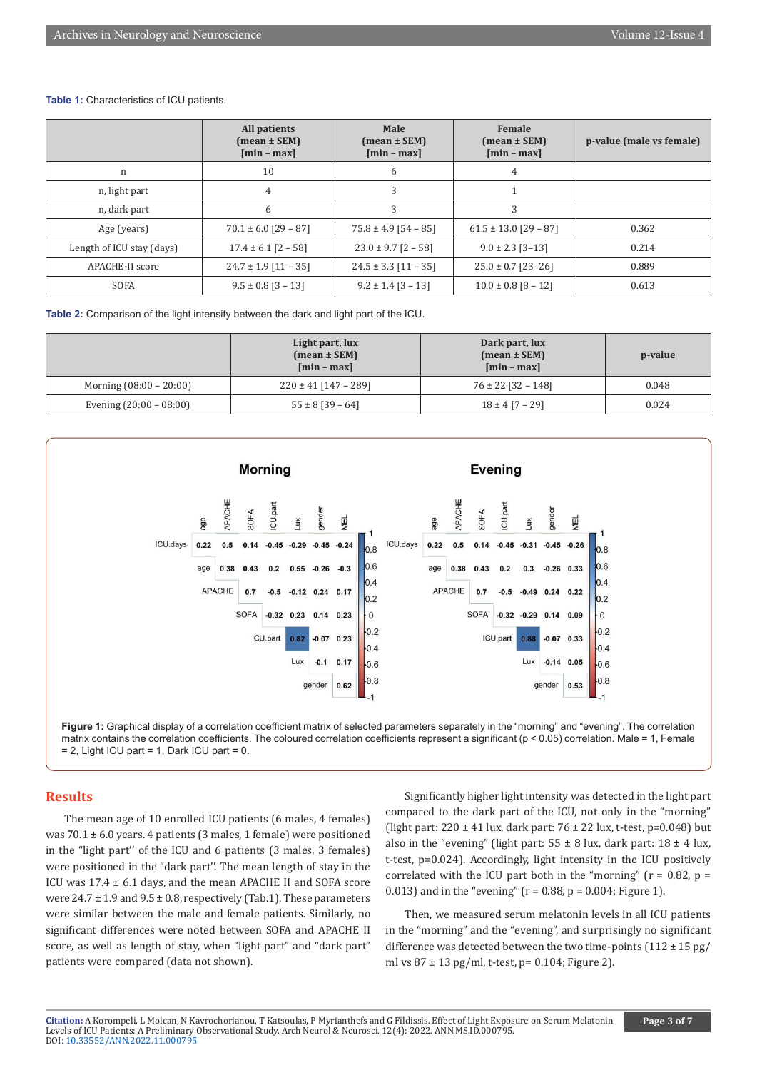#### **Table 1:** Characteristics of ICU patients.

|                           | All patients<br>$(mean \pm SEM)$<br>$[min - max]$ | Male<br>$(mean \pm SEM)$<br>$[\min - \max]$ | Female<br>$(\text{mean} \pm \text{SEM})$<br>$[\min - \max]$ | p-value (male vs female) |
|---------------------------|---------------------------------------------------|---------------------------------------------|-------------------------------------------------------------|--------------------------|
| n                         | 10                                                | 6                                           | 4                                                           |                          |
| n, light part             | 4                                                 | 3                                           |                                                             |                          |
| n, dark part              | 6                                                 | 3                                           | 3                                                           |                          |
| Age (years)               | $70.1 \pm 6.0$ [29 - 87]                          | $75.8 \pm 4.9$ [54 - 85]                    | $61.5 \pm 13.0$ [29 - 87]                                   | 0.362                    |
| Length of ICU stay (days) | $17.4 \pm 6.1$ [2 - 58]                           | $23.0 \pm 9.7$ [2 - 58]                     | $9.0 \pm 2.3$ [3-13]                                        | 0.214                    |
| APACHE-II score           | $24.7 \pm 1.9$ [11 - 35]                          | $24.5 \pm 3.3$ [11 - 35]                    | $25.0 \pm 0.7$ [23-26]                                      | 0.889                    |
| <b>SOFA</b>               | $9.5 \pm 0.8$ [3 - 13]                            | $9.2 \pm 1.4$ [3 - 13]                      | $10.0 \pm 0.8$ [8 - 12]                                     | 0.613                    |

**Table 2:** Comparison of the light intensity between the dark and light part of the ICU.

|                           | Light part, lux<br>$(mean \pm SEM)$<br>$[\min - \max]$ | Dark part, lux<br>$mean \pm SEM$<br>$[\min - \max]$ | p-value |
|---------------------------|--------------------------------------------------------|-----------------------------------------------------|---------|
| Morning $(08:00 - 20:00)$ | $220 \pm 41$ [147 – 289]                               | $76 \pm 22$ [32 – 148]                              | 0.048   |
| Evening $(20:00 - 08:00)$ | $55 \pm 8$ [39 – 64]                                   | $18 \pm 4$ [7 – 29]                                 | 0.024   |





#### **Results**

The mean age of 10 enrolled ICU patients (6 males, 4 females) was  $70.1 \pm 6.0$  years. 4 patients (3 males, 1 female) were positioned in the "light part'' of the ICU and 6 patients (3 males, 3 females) were positioned in the "dark part''. The mean length of stay in the ICU was 17.4 ± 6.1 days, and the mean APACHE II and SOFA score were  $24.7 \pm 1.9$  and  $9.5 \pm 0.8$ , respectively (Tab.1). These parameters were similar between the male and female patients. Similarly, no significant differences were noted between SOFA and APACHE II score, as well as length of stay, when "light part" and "dark part" patients were compared (data not shown).

Significantly higher light intensity was detected in the light part compared to the dark part of the ICU, not only in the "morning" (light part: 220 ± 41 lux, dark part: 76 ± 22 lux, t-test, p=0.048) but also in the "evening" (light part:  $55 \pm 8$  lux, dark part:  $18 \pm 4$  lux, t-test, p=0.024). Accordingly, light intensity in the ICU positively correlated with the ICU part both in the "morning" ( $r = 0.82$ ,  $p =$ 0.013) and in the "evening" ( $r = 0.88$ ,  $p = 0.004$ ; Figure 1).

Then, we measured serum melatonin levels in all ICU patients in the "morning" and the "evening", and surprisingly no significant difference was detected between the two time-points  $(112 \pm 15 \text{ pg})$ ml vs  $87 \pm 13$  pg/ml, t-test, p= 0.104; Figure 2).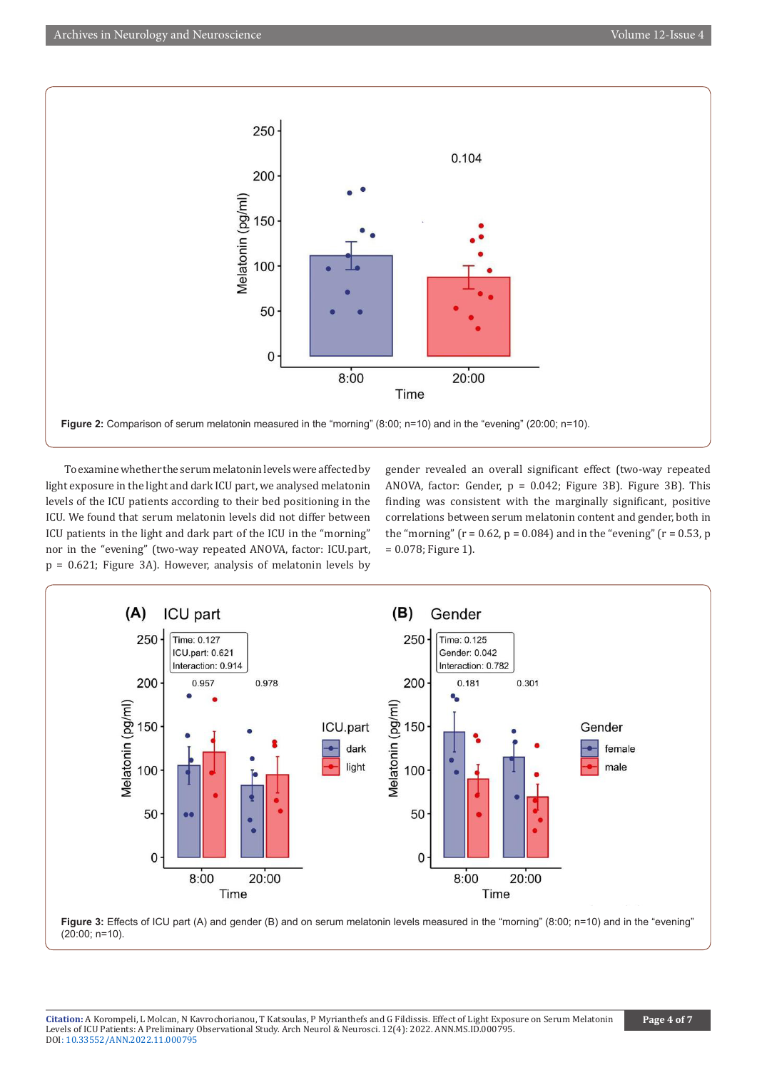

To examine whether the serum melatonin levels were affected by light exposure in the light and dark ICU part, we analysed melatonin levels of the ICU patients according to their bed positioning in the ICU. We found that serum melatonin levels did not differ between ICU patients in the light and dark part of the ICU in the "morning" nor in the "evening" (two-way repeated ANOVA, factor: ICU.part, p = 0.621; Figure 3A). However, analysis of melatonin levels by

gender revealed an overall significant effect (two-way repeated ANOVA, factor: Gender, p = 0.042; Figure 3B). Figure 3B). This finding was consistent with the marginally significant, positive correlations between serum melatonin content and gender, both in the "morning" ( $r = 0.62$ ,  $p = 0.084$ ) and in the "evening" ( $r = 0.53$ , p = 0.078; Figure 1).



**Figure 3:** Effects of ICU part (A) and gender (B) and on serum melatonin levels measured in the "morning" (8:00; n=10) and in the "evening" (20:00; n=10).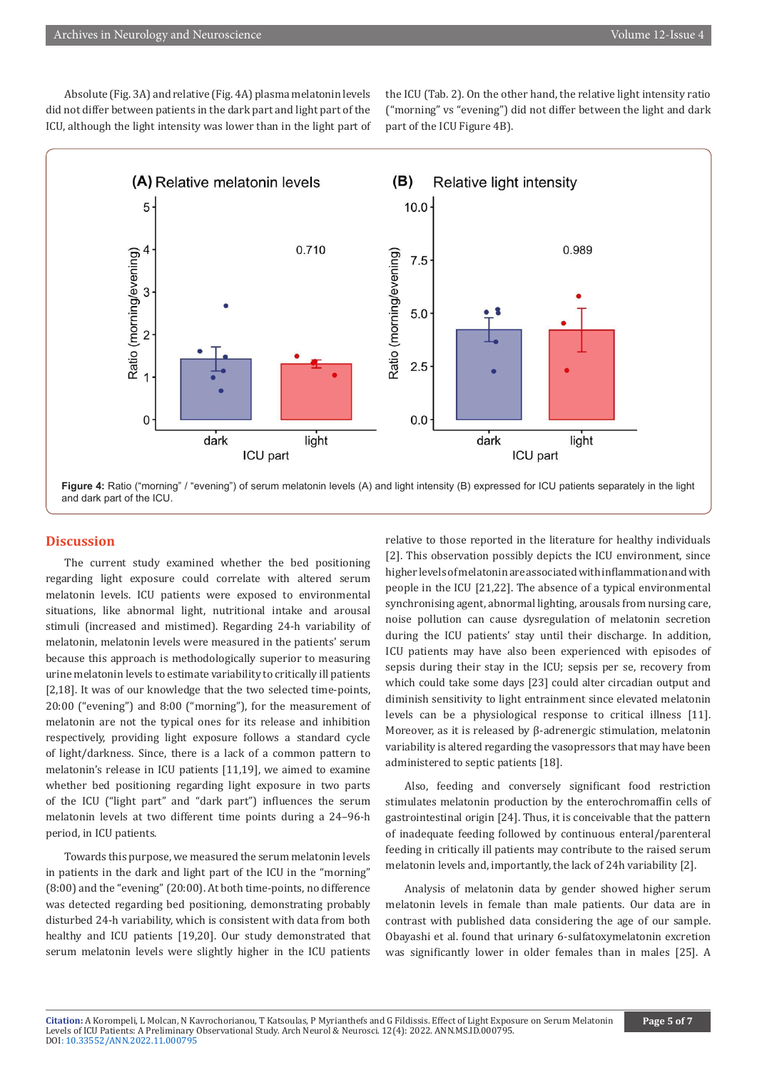Absolute (Fig. 3A) and relative (Fig. 4A) plasma melatonin levels did not differ between patients in the dark part and light part of the ICU, although the light intensity was lower than in the light part of the ICU (Tab. 2). On the other hand, the relative light intensity ratio ("morning" vs "evening") did not differ between the light and dark part of the ICU Figure 4B).



**Figure 4:** Ratio ("morning" / "evening") of serum melatonin levels (A) and light intensity (B) expressed for ICU patients separately in the light and dark part of the ICU.

#### **Discussion**

The current study examined whether the bed positioning regarding light exposure could correlate with altered serum melatonin levels. ICU patients were exposed to environmental situations, like abnormal light, nutritional intake and arousal stimuli (increased and mistimed). Regarding 24-h variability of melatonin, melatonin levels were measured in the patients' serum because this approach is methodologically superior to measuring urine melatonin levels to estimate variability to critically ill patients [2,18]. It was of our knowledge that the two selected time-points, 20:00 ("evening") and 8:00 ("morning"), for the measurement of melatonin are not the typical ones for its release and inhibition respectively, providing light exposure follows a standard cycle of light/darkness. Since, there is a lack of a common pattern to melatonin's release in ICU patients [11,19], we aimed to examine whether bed positioning regarding light exposure in two parts of the ICU ("light part" and "dark part") influences the serum melatonin levels at two different time points during a 24–96-h period, in ICU patients.

Towards this purpose, we measured the serum melatonin levels in patients in the dark and light part of the ICU in the "morning" (8:00) and the "evening" (20:00). At both time-points, no difference was detected regarding bed positioning, demonstrating probably disturbed 24-h variability, which is consistent with data from both healthy and ICU patients [19,20]. Our study demonstrated that serum melatonin levels were slightly higher in the ICU patients

relative to those reported in the literature for healthy individuals [2]. This observation possibly depicts the ICU environment, since higher levels of melatonin are associated with inflammation and with people in the ICU [21,22]. The absence of a typical environmental synchronising agent, abnormal lighting, arousals from nursing care, noise pollution can cause dysregulation of melatonin secretion during the ICU patients' stay until their discharge. In addition, ICU patients may have also been experienced with episodes of sepsis during their stay in the ICU; sepsis per se, recovery from which could take some days [23] could alter circadian output and diminish sensitivity to light entrainment since elevated melatonin levels can be a physiological response to critical illness [11]. Moreover, as it is released by β-adrenergic stimulation, melatonin variability is altered regarding the vasopressors that may have been administered to septic patients [18].

Also, feeding and conversely significant food restriction stimulates melatonin production by the enterochromaffin cells of gastrointestinal origin [24]. Thus, it is conceivable that the pattern of inadequate feeding followed by continuous enteral/parenteral feeding in critically ill patients may contribute to the raised serum melatonin levels and, importantly, the lack of 24h variability [2].

Analysis of melatonin data by gender showed higher serum melatonin levels in female than male patients. Our data are in contrast with published data considering the age of our sample. Obayashi et al. found that urinary 6-sulfatoxymelatonin excretion was significantly lower in older females than in males [25]. A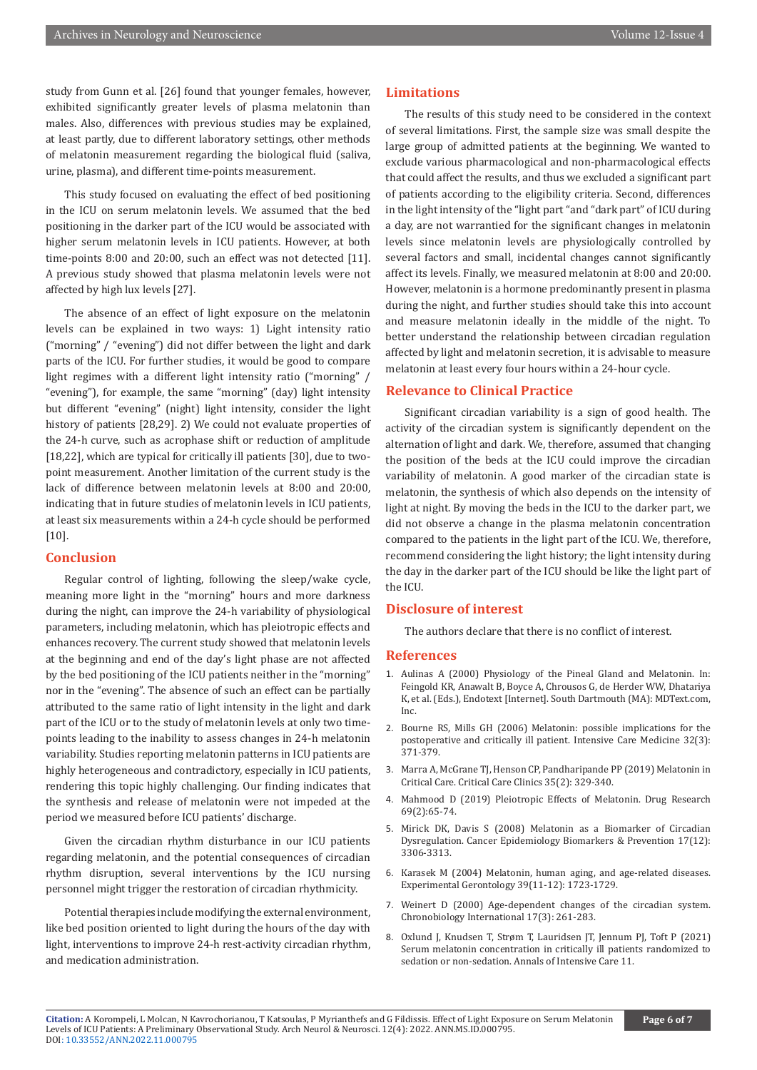study from Gunn et al. [26] found that younger females, however, exhibited significantly greater levels of plasma melatonin than males. Also, differences with previous studies may be explained, at least partly, due to different laboratory settings, other methods of melatonin measurement regarding the biological fluid (saliva, urine, plasma), and different time-points measurement.

This study focused on evaluating the effect of bed positioning in the ICU on serum melatonin levels. We assumed that the bed positioning in the darker part of the ICU would be associated with higher serum melatonin levels in ICU patients. However, at both time-points 8:00 and 20:00, such an effect was not detected [11]. A previous study showed that plasma melatonin levels were not affected by high lux levels [27].

The absence of an effect of light exposure on the melatonin levels can be explained in two ways: 1) Light intensity ratio ("morning" / "evening") did not differ between the light and dark parts of the ICU. For further studies, it would be good to compare light regimes with a different light intensity ratio ("morning" / "evening"), for example, the same "morning" (day) light intensity but different "evening" (night) light intensity, consider the light history of patients [28,29]. 2) We could not evaluate properties of the 24-h curve, such as acrophase shift or reduction of amplitude [18,22], which are typical for critically ill patients [30], due to twopoint measurement. Another limitation of the current study is the lack of difference between melatonin levels at 8:00 and 20:00, indicating that in future studies of melatonin levels in ICU patients, at least six measurements within a 24-h cycle should be performed [10].

#### **Conclusion**

Regular control of lighting, following the sleep/wake cycle, meaning more light in the "morning" hours and more darkness during the night, can improve the 24-h variability of physiological parameters, including melatonin, which has pleiotropic effects and enhances recovery. The current study showed that melatonin levels at the beginning and end of the day's light phase are not affected by the bed positioning of the ICU patients neither in the "morning" nor in the "evening". The absence of such an effect can be partially attributed to the same ratio of light intensity in the light and dark part of the ICU or to the study of melatonin levels at only two timepoints leading to the inability to assess changes in 24-h melatonin variability. Studies reporting melatonin patterns in ICU patients are highly heterogeneous and contradictory, especially in ICU patients, rendering this topic highly challenging. Our finding indicates that the synthesis and release of melatonin were not impeded at the period we measured before ICU patients' discharge.

Given the circadian rhythm disturbance in our ICU patients regarding melatonin, and the potential consequences of circadian rhythm disruption, several interventions by the ICU nursing personnel might trigger the restoration of circadian rhythmicity.

Potential therapies include modifying the external environment, like bed position oriented to light during the hours of the day with light, interventions to improve 24-h rest-activity circadian rhythm, and medication administration.

### **Limitations**

The results of this study need to be considered in the context of several limitations. First, the sample size was small despite the large group of admitted patients at the beginning. We wanted to exclude various pharmacological and non-pharmacological effects that could affect the results, and thus we excluded a significant part of patients according to the eligibility criteria. Second, differences in the light intensity of the "light part "and "dark part" of ICU during a day, are not warrantied for the significant changes in melatonin levels since melatonin levels are physiologically controlled by several factors and small, incidental changes cannot significantly affect its levels. Finally, we measured melatonin at 8:00 and 20:00. However, melatonin is a hormone predominantly present in plasma during the night, and further studies should take this into account and measure melatonin ideally in the middle of the night. To better understand the relationship between circadian regulation affected by light and melatonin secretion, it is advisable to measure melatonin at least every four hours within a 24-hour cycle.

#### **Relevance to Clinical Practice**

Significant circadian variability is a sign of good health. The activity of the circadian system is significantly dependent on the alternation of light and dark. We, therefore, assumed that changing the position of the beds at the ICU could improve the circadian variability of melatonin. A good marker of the circadian state is melatonin, the synthesis of which also depends on the intensity of light at night. By moving the beds in the ICU to the darker part, we did not observe a change in the plasma melatonin concentration compared to the patients in the light part of the ICU. We, therefore, recommend considering the light history; the light intensity during the day in the darker part of the ICU should be like the light part of the ICU.

#### **Disclosure of interest**

The authors declare that there is no conflict of interest.

#### **References**

- 1. Aulinas A (2000) Physiology of the Pineal Gland and Melatonin. In: Feingold KR, Anawalt B, Boyce A, Chrousos G, de Herder WW, Dhatariya K, et al. (Eds.), Endotext [Internet]. South Dartmouth (MA): MDText.com, Inc.
- 2. [Bourne RS, Mills GH \(2006\) Melatonin: possible implications for the](https://pubmed.ncbi.nlm.nih.gov/16477412/) [postoperative and critically ill patient. Intensive Care Medicine 32\(3\):](https://pubmed.ncbi.nlm.nih.gov/16477412/) [371-379.](https://pubmed.ncbi.nlm.nih.gov/16477412/)
- 3. [Marra A, McGrane TJ, Henson CP, Pandharipande PP \(2019\) Melatonin in](https://pubmed.ncbi.nlm.nih.gov/30784613/) [Critical Care. Critical Care Clinics 35\(2\): 329-340.](https://pubmed.ncbi.nlm.nih.gov/30784613/)
- 4. Mahmood D (2019) Pleiotropic Effects of Melatonin. Drug Research 69(2):65-74.
- 5. Mirick DK, Davis S (2008) Melatonin as a Biomarker of Circadian Dysregulation. Cancer Epidemiology Biomarkers & Prevention 17(12): 3306-3313.
- 6. Karasek M (2004) Melatonin, human aging, and age-related diseases. Experimental Gerontology 39(11-12): 1723-1729.
- 7. [Weinert D \(2000\) Age-dependent changes of the circadian system.](https://pubmed.ncbi.nlm.nih.gov/10841207/) [Chronobiology International 17\(3\): 261-283.](https://pubmed.ncbi.nlm.nih.gov/10841207/)
- 8. Oxlund J, Knudsen T, Strøm T, Lauridsen JT, Jennum PJ, Toft P (2021) Serum melatonin concentration in critically ill patients randomized to sedation or non-sedation. Annals of Intensive Care 11.